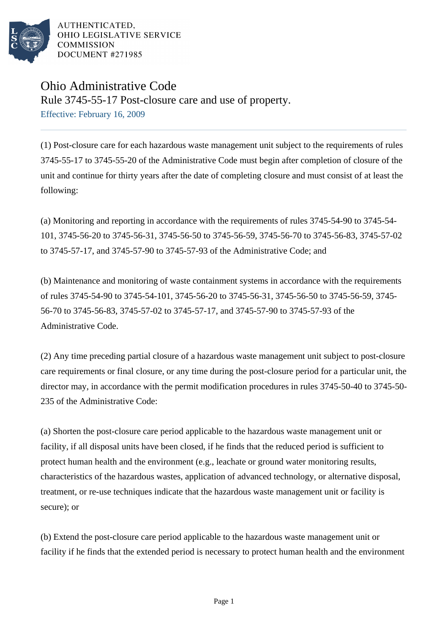

AUTHENTICATED. OHIO LEGISLATIVE SERVICE **COMMISSION** DOCUMENT #271985

## Ohio Administrative Code

Rule 3745-55-17 Post-closure care and use of property. Effective: February 16, 2009

(1) Post-closure care for each hazardous waste management unit subject to the requirements of rules 3745-55-17 to 3745-55-20 of the Administrative Code must begin after completion of closure of the unit and continue for thirty years after the date of completing closure and must consist of at least the following:

(a) Monitoring and reporting in accordance with the requirements of rules 3745-54-90 to 3745-54- 101, 3745-56-20 to 3745-56-31, 3745-56-50 to 3745-56-59, 3745-56-70 to 3745-56-83, 3745-57-02 to 3745-57-17, and 3745-57-90 to 3745-57-93 of the Administrative Code; and

(b) Maintenance and monitoring of waste containment systems in accordance with the requirements of rules 3745-54-90 to 3745-54-101, 3745-56-20 to 3745-56-31, 3745-56-50 to 3745-56-59, 3745- 56-70 to 3745-56-83, 3745-57-02 to 3745-57-17, and 3745-57-90 to 3745-57-93 of the Administrative Code.

(2) Any time preceding partial closure of a hazardous waste management unit subject to post-closure care requirements or final closure, or any time during the post-closure period for a particular unit, the director may, in accordance with the permit modification procedures in rules 3745-50-40 to 3745-50- 235 of the Administrative Code:

(a) Shorten the post-closure care period applicable to the hazardous waste management unit or facility, if all disposal units have been closed, if he finds that the reduced period is sufficient to protect human health and the environment (e.g., leachate or ground water monitoring results, characteristics of the hazardous wastes, application of advanced technology, or alternative disposal, treatment, or re-use techniques indicate that the hazardous waste management unit or facility is secure); or

(b) Extend the post-closure care period applicable to the hazardous waste management unit or facility if he finds that the extended period is necessary to protect human health and the environment